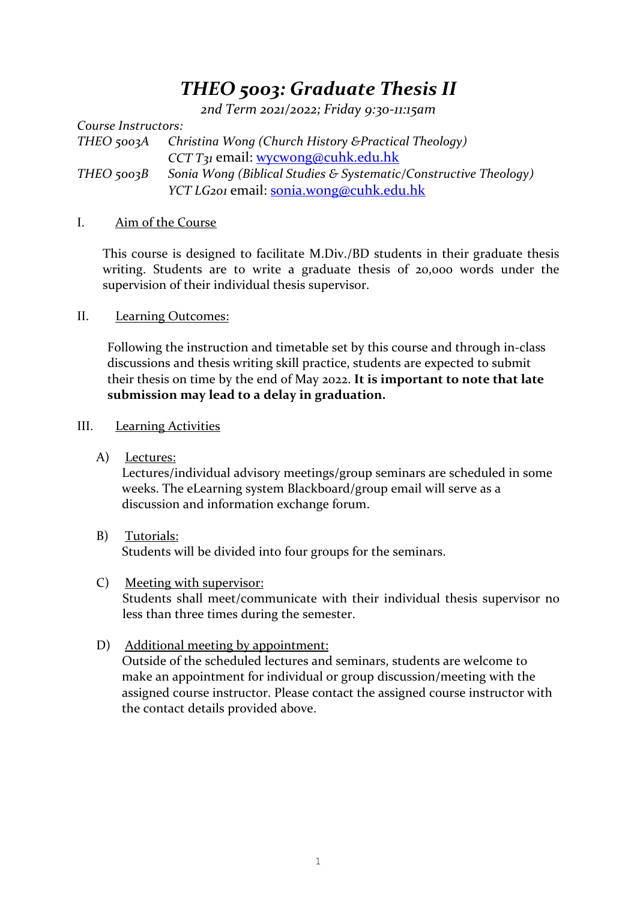# *THEO 5003: Graduate Thesis II*

*2nd Term 2021/2022; Friday 9:30-11:15am*

*Course Instructors: THEO 5003A Christina Wong (Church History &Practical Theology) CCT T31* email: [wycwong@cuhk.edu.hk](mailto:wycwong@cuhk.edu.hk) *THEO 5003B Sonia Wong (Biblical Studies & Systematic/Constructive Theology) YCT LG201* email: [sonia.wong@cuhk.edu.hk](mailto:sonia.wong@cuhk.edu.hk)

#### I. Aim of the Course

This course is designed to facilitate M.Div./BD students in their graduate thesis writing. Students are to write a graduate thesis of 20,000 words under the supervision of their individual thesis supervisor.

#### II. Learning Outcomes:

Following the instruction and timetable set by this course and through in-class discussions and thesis writing skill practice, students are expected to submit their thesis on time by the end of May 2022. **It is important to note that late submission may lead to a delay in graduation.**

#### III. Learning Activities

A) Lectures:

Lectures/individual advisory meetings/group seminars are scheduled in some weeks. The eLearning system Blackboard/group email will serve as a discussion and information exchange forum.

- B) Tutorials: Students will be divided into four groups for the seminars.
- C) Meeting with supervisor: Students shall meet/communicate with their individual thesis supervisor no less than three times during the semester.
- D) Additional meeting by appointment:

Outside of the scheduled lectures and seminars, students are welcome to make an appointment for individual or group discussion/meeting with the assigned course instructor. Please contact the assigned course instructor with the contact details provided above.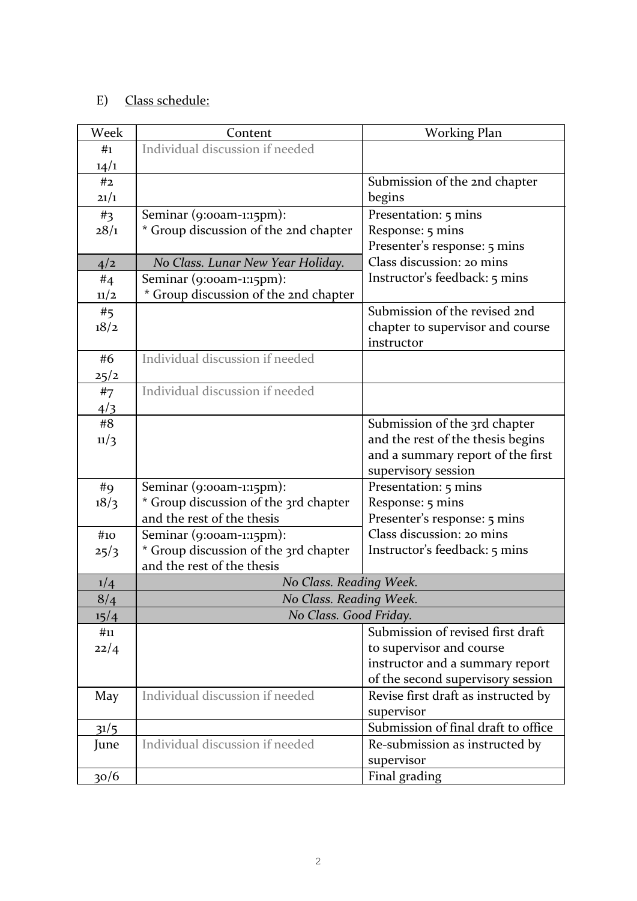## E) Class schedule:

| Week | Content                               | <b>Working Plan</b>                 |
|------|---------------------------------------|-------------------------------------|
| #1   | Individual discussion if needed       |                                     |
| 14/1 |                                       |                                     |
| #2   |                                       | Submission of the 2nd chapter       |
| 21/1 |                                       | begins                              |
| #3   | Seminar (9:00am-1:15pm):              | Presentation: 5 mins                |
| 28/1 | * Group discussion of the 2nd chapter | Response: 5 mins                    |
|      |                                       | Presenter's response: 5 mins        |
| 4/2  | No Class. Lunar New Year Holiday.     | Class discussion: 20 mins           |
| #4   | Seminar (9:00am-1:15pm):              | Instructor's feedback: 5 mins       |
| 11/2 | * Group discussion of the 2nd chapter |                                     |
| #5   |                                       | Submission of the revised 2nd       |
| 18/2 |                                       | chapter to supervisor and course    |
|      |                                       | instructor                          |
| #6   | Individual discussion if needed       |                                     |
| 25/2 |                                       |                                     |
| #7   | Individual discussion if needed       |                                     |
| 4/3  |                                       |                                     |
| #8   |                                       | Submission of the 3rd chapter       |
| 11/3 |                                       | and the rest of the thesis begins   |
|      |                                       | and a summary report of the first   |
|      |                                       | supervisory session                 |
| #9   | Seminar (9:00am-1:15pm):              | Presentation: 5 mins                |
| 18/3 | * Group discussion of the 3rd chapter | Response: 5 mins                    |
|      | and the rest of the thesis            | Presenter's response: 5 mins        |
| #10  | Seminar (9:00am-1:15pm):              | Class discussion: 20 mins           |
| 25/3 | * Group discussion of the 3rd chapter | Instructor's feedback: 5 mins       |
|      | and the rest of the thesis            |                                     |
| 1/4  | No Class. Reading Week.               |                                     |
| 8/4  | No Class. Reading Week.               |                                     |
| 15/4 | No Class. Good Friday.                |                                     |
| #11  |                                       | Submission of revised first draft   |
| 22/4 |                                       | to supervisor and course            |
|      |                                       | instructor and a summary report     |
|      |                                       | of the second supervisory session   |
| May  | Individual discussion if needed       | Revise first draft as instructed by |
|      |                                       | supervisor                          |
| 31/5 |                                       | Submission of final draft to office |
| June | Individual discussion if needed       | Re-submission as instructed by      |
|      |                                       | supervisor                          |
| 30/6 |                                       | Final grading                       |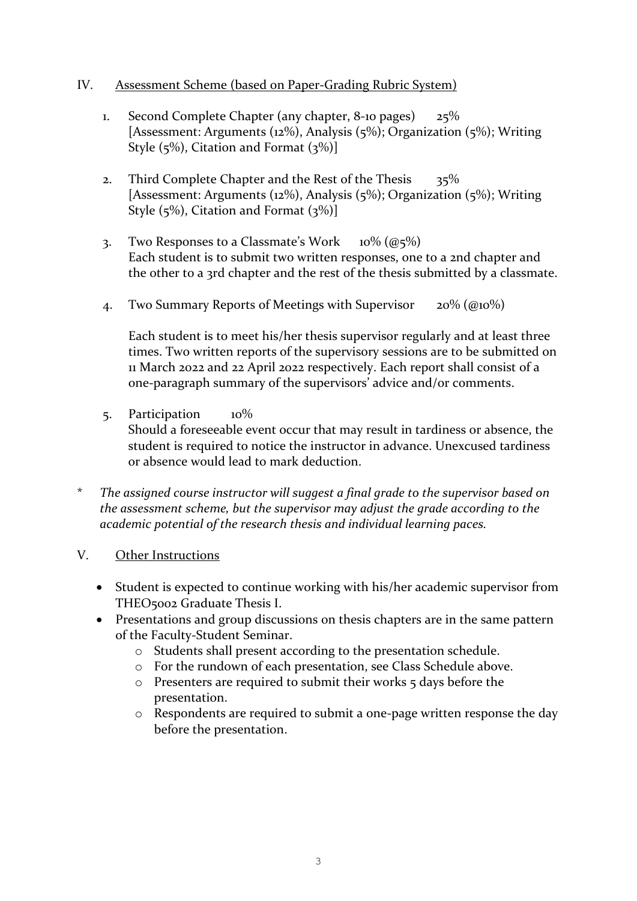#### IV. Assessment Scheme (based on Paper-Grading Rubric System)

- 1. Second Complete Chapter (any chapter, 8-10 pages) 25% [Assessment: Arguments (12%), Analysis (5%); Organization (5%); Writing Style  $(5\%)$ , Citation and Format  $(3\%)$
- 2. Third Complete Chapter and the Rest of the Thesis 35% [Assessment: Arguments (12%), Analysis (5%); Organization (5%); Writing Style  $(5\%)$ , Citation and Format  $(3\%)$
- 3. Two Responses to a Classmate's Work  $10\%$  ( $@5\%$ ) Each student is to submit two written responses, one to a 2nd chapter and the other to a 3rd chapter and the rest of the thesis submitted by a classmate.
- 4. Two Summary Reports of Meetings with Supervisor  $20\%$  (@10%)

Each student is to meet his/her thesis supervisor regularly and at least three times. Two written reports of the supervisory sessions are to be submitted on 11 March 2022 and 22 April 2022 respectively. Each report shall consist of a one-paragraph summary of the supervisors' advice and/or comments.

5. Participation 10%

Should a foreseeable event occur that may result in tardiness or absence, the student is required to notice the instructor in advance. Unexcused tardiness or absence would lead to mark deduction.

\* *The assigned course instructor will suggest a final grade to the supervisor based on the assessment scheme, but the supervisor may adjust the grade according to the academic potential of the research thesis and individual learning paces.*

### V. Other Instructions

- Student is expected to continue working with his/her academic supervisor from THEO5002 Graduate Thesis I.
- Presentations and group discussions on thesis chapters are in the same pattern of the Faculty-Student Seminar.
	- o Students shall present according to the presentation schedule.
	- o For the rundown of each presentation, see Class Schedule above.
	- o Presenters are required to submit their works 5 days before the presentation.
	- o Respondents are required to submit a one-page written response the day before the presentation.